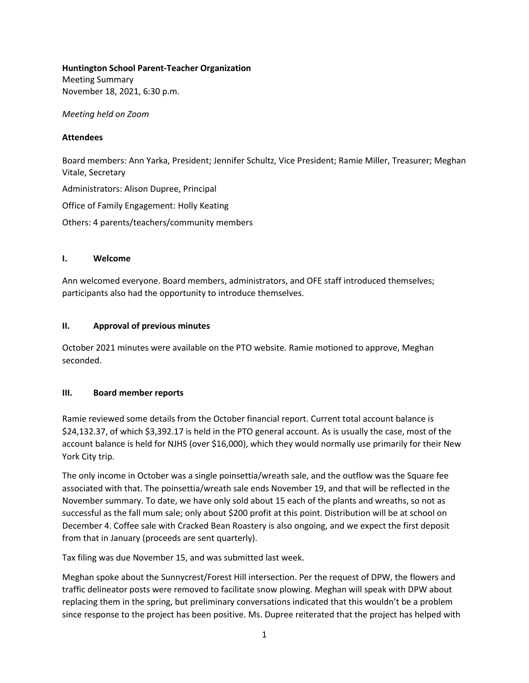#### **Huntington School Parent-Teacher Organization**

Meeting Summary November 18, 2021, 6:30 p.m.

*Meeting held on Zoom* 

#### **Attendees**

Board members: Ann Yarka, President; Jennifer Schultz, Vice President; Ramie Miller, Treasurer; Meghan Vitale, Secretary

Administrators: Alison Dupree, Principal

Office of Family Engagement: Holly Keating

Others: 4 parents/teachers/community members

## **I. Welcome**

Ann welcomed everyone. Board members, administrators, and OFE staff introduced themselves; participants also had the opportunity to introduce themselves.

## **II. Approval of previous minutes**

October 2021 minutes were available on the PTO website. Ramie motioned to approve, Meghan seconded.

## **III. Board member reports**

Ramie reviewed some details from the October financial report. Current total account balance is \$24,132.37, of which \$3,392.17 is held in the PTO general account. As is usually the case, most of the account balance is held for NJHS (over \$16,000), which they would normally use primarily for their New York City trip.

The only income in October was a single poinsettia/wreath sale, and the outflow was the Square fee associated with that. The poinsettia/wreath sale ends November 19, and that will be reflected in the November summary. To date, we have only sold about 15 each of the plants and wreaths, so not as successful as the fall mum sale; only about \$200 profit at this point. Distribution will be at school on December 4. Coffee sale with Cracked Bean Roastery is also ongoing, and we expect the first deposit from that in January (proceeds are sent quarterly).

Tax filing was due November 15, and was submitted last week.

Meghan spoke about the Sunnycrest/Forest Hill intersection. Per the request of DPW, the flowers and traffic delineator posts were removed to facilitate snow plowing. Meghan will speak with DPW about replacing them in the spring, but preliminary conversations indicated that this wouldn't be a problem since response to the project has been positive. Ms. Dupree reiterated that the project has helped with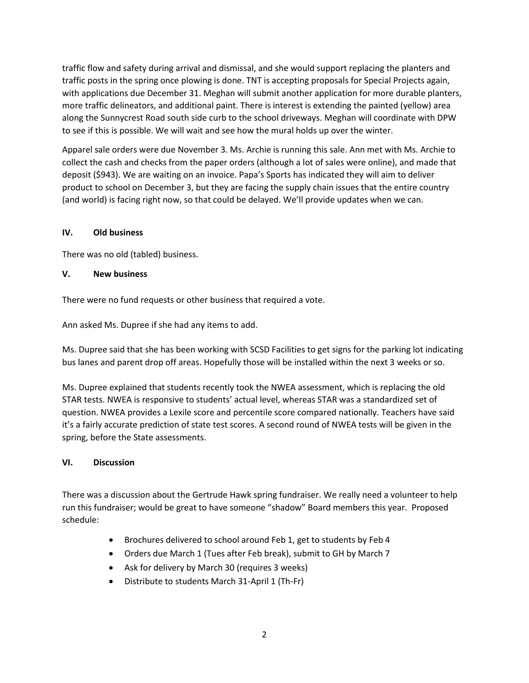traffic flow and safety during arrival and dismissal, and she would support replacing the planters and traffic posts in the spring once plowing is done. TNT is accepting proposals for Special Projects again, with applications due December 31. Meghan will submit another application for more durable planters, more traffic delineators, and additional paint. There is interest is extending the painted (yellow) area along the Sunnycrest Road south side curb to the school driveways. Meghan will coordinate with DPW to see if this is possible. We will wait and see how the mural holds up over the winter.

Apparel sale orders were due November 3. Ms. Archie is running this sale. Ann met with Ms. Archie to collect the cash and checks from the paper orders (although a lot of sales were online), and made that deposit (\$943). We are waiting on an invoice. Papa's Sports has indicated they will aim to deliver product to school on December 3, but they are facing the supply chain issues that the entire country (and world) is facing right now, so that could be delayed. We'll provide updates when we can.

## **IV. Old business**

There was no old (tabled) business.

## **V. New business**

There were no fund requests or other business that required a vote.

Ann asked Ms. Dupree if she had any items to add.

Ms. Dupree said that she has been working with SCSD Facilities to get signs for the parking lot indicating bus lanes and parent drop off areas. Hopefully those will be installed within the next 3 weeks or so.

Ms. Dupree explained that students recently took the NWEA assessment, which is replacing the old STAR tests. NWEA is responsive to students' actual level, whereas STAR was a standardized set of question. NWEA provides a Lexile score and percentile score compared nationally. Teachers have said it's a fairly accurate prediction of state test scores. A second round of NWEA tests will be given in the spring, before the State assessments.

#### **VI. Discussion**

There was a discussion about the Gertrude Hawk spring fundraiser. We really need a volunteer to help run this fundraiser; would be great to have someone "shadow" Board members this year. Proposed schedule:

- Brochures delivered to school around Feb 1, get to students by Feb 4
- Orders due March 1 (Tues after Feb break), submit to GH by March 7
- Ask for delivery by March 30 (requires 3 weeks)
- Distribute to students March 31-April 1 (Th-Fr)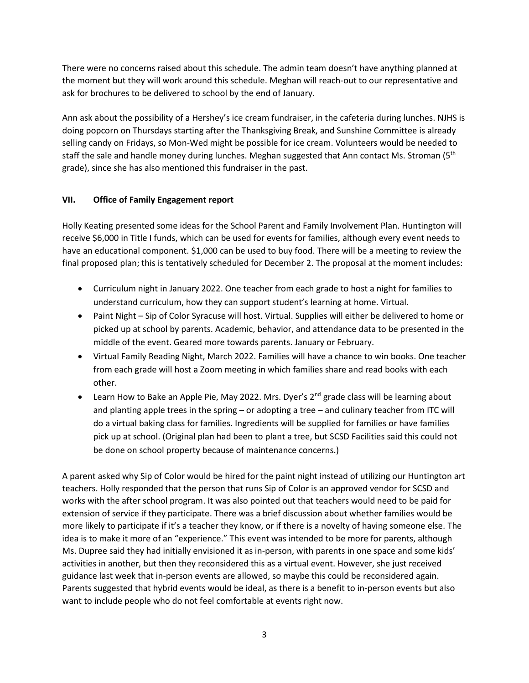There were no concerns raised about this schedule. The admin team doesn't have anything planned at the moment but they will work around this schedule. Meghan will reach-out to our representative and ask for brochures to be delivered to school by the end of January.

Ann ask about the possibility of a Hershey's ice cream fundraiser, in the cafeteria during lunches. NJHS is doing popcorn on Thursdays starting after the Thanksgiving Break, and Sunshine Committee is already selling candy on Fridays, so Mon-Wed might be possible for ice cream. Volunteers would be needed to staff the sale and handle money during lunches. Meghan suggested that Ann contact Ms. Stroman (5<sup>th</sup> grade), since she has also mentioned this fundraiser in the past.

# **VII. Office of Family Engagement report**

Holly Keating presented some ideas for the School Parent and Family Involvement Plan. Huntington will receive \$6,000 in Title I funds, which can be used for events for families, although every event needs to have an educational component. \$1,000 can be used to buy food. There will be a meeting to review the final proposed plan; this is tentatively scheduled for December 2. The proposal at the moment includes:

- Curriculum night in January 2022. One teacher from each grade to host a night for families to understand curriculum, how they can support student's learning at home. Virtual.
- Paint Night Sip of Color Syracuse will host. Virtual. Supplies will either be delivered to home or picked up at school by parents. Academic, behavior, and attendance data to be presented in the middle of the event. Geared more towards parents. January or February.
- Virtual Family Reading Night, March 2022. Families will have a chance to win books. One teacher from each grade will host a Zoom meeting in which families share and read books with each other.
- Learn How to Bake an Apple Pie, May 2022. Mrs. Dyer's  $2^{nd}$  grade class will be learning about and planting apple trees in the spring – or adopting a tree – and culinary teacher from ITC will do a virtual baking class for families. Ingredients will be supplied for families or have families pick up at school. (Original plan had been to plant a tree, but SCSD Facilities said this could not be done on school property because of maintenance concerns.)

A parent asked why Sip of Color would be hired for the paint night instead of utilizing our Huntington art teachers. Holly responded that the person that runs Sip of Color is an approved vendor for SCSD and works with the after school program. It was also pointed out that teachers would need to be paid for extension of service if they participate. There was a brief discussion about whether families would be more likely to participate if it's a teacher they know, or if there is a novelty of having someone else. The idea is to make it more of an "experience." This event was intended to be more for parents, although Ms. Dupree said they had initially envisioned it as in-person, with parents in one space and some kids' activities in another, but then they reconsidered this as a virtual event. However, she just received guidance last week that in-person events are allowed, so maybe this could be reconsidered again. Parents suggested that hybrid events would be ideal, as there is a benefit to in-person events but also want to include people who do not feel comfortable at events right now.